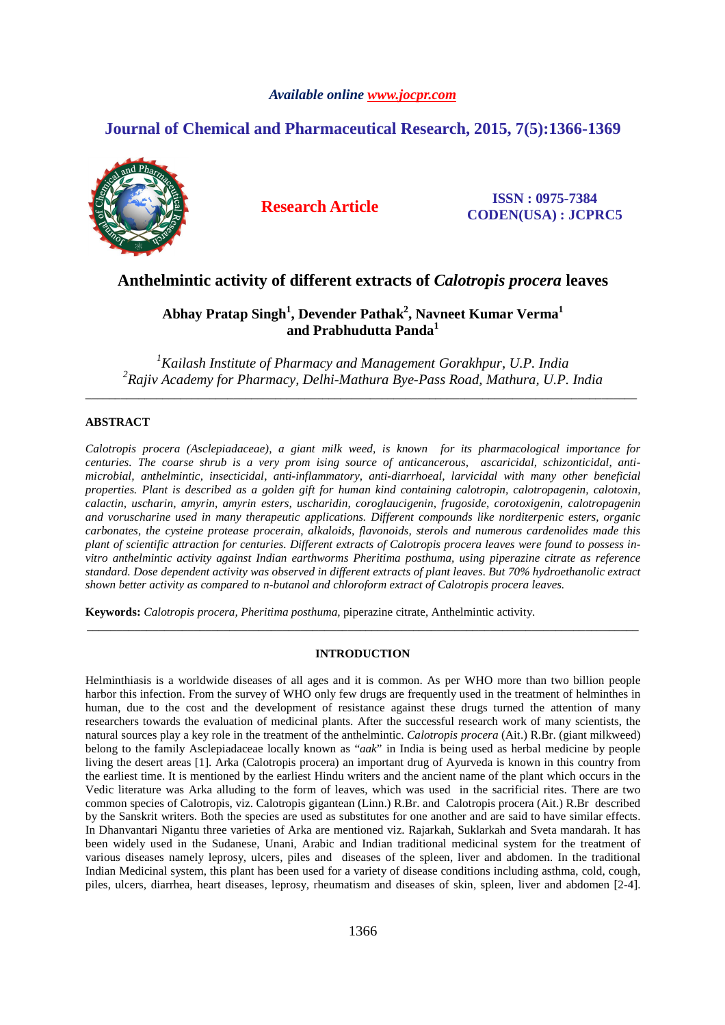# *Available online www.jocpr.com*

# **Journal of Chemical and Pharmaceutical Research, 2015, 7(5):1366-1369**



**Research Article ISSN : 0975-7384 CODEN(USA) : JCPRC5**

# **Anthelmintic activity of different extracts of** *Calotropis procera* **leaves**

# **Abhay Pratap Singh<sup>1</sup> , Devender Pathak<sup>2</sup> , Navneet Kumar Verma<sup>1</sup> and Prabhudutta Panda<sup>1</sup>**

*<sup>1</sup>Kailash Institute of Pharmacy and Management Gorakhpur, U.P. India 2 Rajiv Academy for Pharmacy, Delhi-Mathura Bye-Pass Road, Mathura, U.P. India*  \_\_\_\_\_\_\_\_\_\_\_\_\_\_\_\_\_\_\_\_\_\_\_\_\_\_\_\_\_\_\_\_\_\_\_\_\_\_\_\_\_\_\_\_\_\_\_\_\_\_\_\_\_\_\_\_\_\_\_\_\_\_\_\_\_\_\_\_\_\_\_\_\_\_\_\_\_\_\_\_\_\_\_\_\_\_\_\_\_\_\_\_\_

# **ABSTRACT**

*Calotropis procera (Asclepiadaceae), a giant milk weed, is known for its pharmacological importance for centuries. The coarse shrub is a very prom ising source of anticancerous, ascaricidal, schizonticidal, antimicrobial, anthelmintic, insecticidal, anti-inflammatory, anti-diarrhoeal, larvicidal with many other beneficial properties. Plant is described as a golden gift for human kind containing calotropin, calotropagenin, calotoxin, calactin, uscharin, amyrin, amyrin esters, uscharidin, coroglaucigenin, frugoside, corotoxigenin, calotropagenin and voruscharine used in many therapeutic applications. Different compounds like norditerpenic esters, organic carbonates, the cysteine protease procerain, alkaloids, flavonoids, sterols and numerous cardenolides made this plant of scientific attraction for centuries. Different extracts of Calotropis procera leaves were found to possess invitro anthelmintic activity against Indian earthworms Pheritima posthuma, using piperazine citrate as reference standard. Dose dependent activity was observed in different extracts of plant leaves. But 70% hydroethanolic extract shown better activity as compared to n-butanol and chloroform extract of Calotropis procera leaves.* 

**Keywords:** *Calotropis procera, Pheritima posthuma,* piperazine citrate, Anthelmintic activity.

## **INTRODUCTION**

\_\_\_\_\_\_\_\_\_\_\_\_\_\_\_\_\_\_\_\_\_\_\_\_\_\_\_\_\_\_\_\_\_\_\_\_\_\_\_\_\_\_\_\_\_\_\_\_\_\_\_\_\_\_\_\_\_\_\_\_\_\_\_\_\_\_\_\_\_\_\_\_\_\_\_\_\_\_\_\_\_\_\_\_\_\_\_\_\_\_\_\_\_

Helminthiasis is a worldwide diseases of all ages and it is common. As per WHO more than two billion people harbor this infection. From the survey of WHO only few drugs are frequently used in the treatment of helminthes in human, due to the cost and the development of resistance against these drugs turned the attention of many researchers towards the evaluation of medicinal plants. After the successful research work of many scientists, the natural sources play a key role in the treatment of the anthelmintic. *Calotropis procera* (Ait.) R.Br. (giant milkweed) belong to the family Asclepiadaceae locally known as "*aak*" in India is being used as herbal medicine by people living the desert areas [1]. Arka (Calotropis procera) an important drug of Ayurveda is known in this country from the earliest time. It is mentioned by the earliest Hindu writers and the ancient name of the plant which occurs in the Vedic literature was Arka alluding to the form of leaves, which was used in the sacrificial rites. There are two common species of Calotropis, viz. Calotropis gigantean (Linn.) R.Br. and Calotropis procera (Ait.) R.Br described by the Sanskrit writers. Both the species are used as substitutes for one another and are said to have similar effects. In Dhanvantari Nigantu three varieties of Arka are mentioned viz. Rajarkah, Suklarkah and Sveta mandarah. It has been widely used in the Sudanese, Unani, Arabic and Indian traditional medicinal system for the treatment of various diseases namely leprosy, ulcers, piles and diseases of the spleen, liver and abdomen. In the traditional Indian Medicinal system, this plant has been used for a variety of disease conditions including asthma, cold, cough, piles, ulcers, diarrhea, heart diseases, leprosy, rheumatism and diseases of skin, spleen, liver and abdomen [2-4].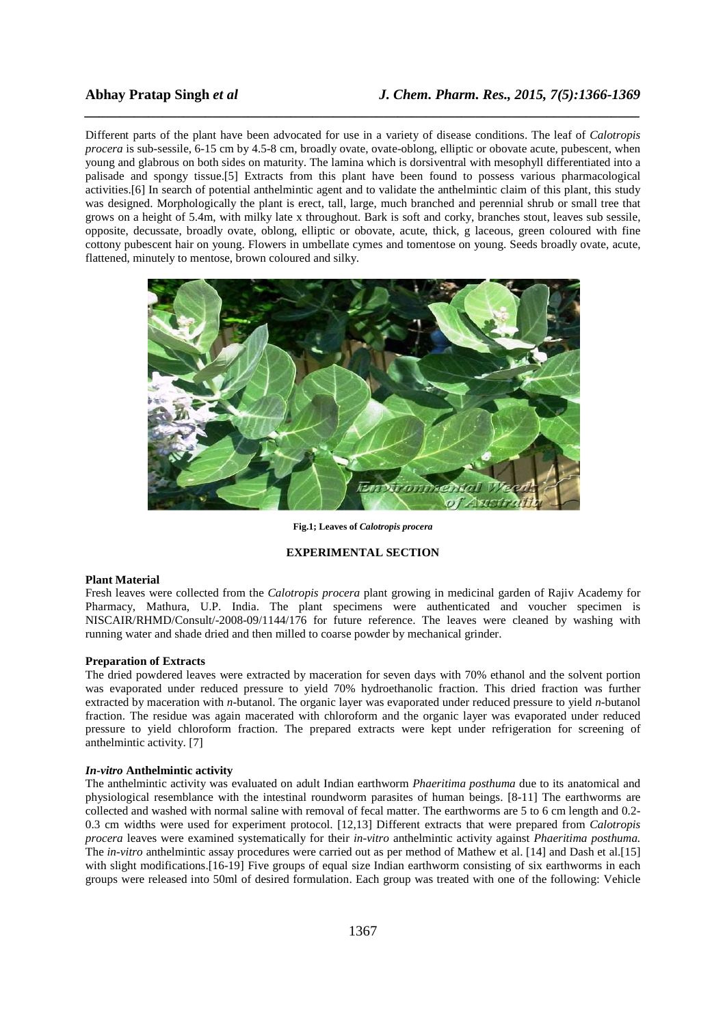Different parts of the plant have been advocated for use in a variety of disease conditions. The leaf of *Calotropis procera* is sub-sessile, 6-15 cm by 4.5-8 cm, broadly ovate, ovate-oblong, elliptic or obovate acute, pubescent, when young and glabrous on both sides on maturity. The lamina which is dorsiventral with mesophyll differentiated into a palisade and spongy tissue.[5] Extracts from this plant have been found to possess various pharmacological activities.[6] In search of potential anthelmintic agent and to validate the anthelmintic claim of this plant, this study was designed. Morphologically the plant is erect, tall, large, much branched and perennial shrub or small tree that grows on a height of 5.4m, with milky late x throughout. Bark is soft and corky, branches stout, leaves sub sessile, opposite, decussate, broadly ovate, oblong, elliptic or obovate, acute, thick, g laceous, green coloured with fine cottony pubescent hair on young. Flowers in umbellate cymes and tomentose on young. Seeds broadly ovate, acute, flattened, minutely to mentose, brown coloured and silky.

*\_\_\_\_\_\_\_\_\_\_\_\_\_\_\_\_\_\_\_\_\_\_\_\_\_\_\_\_\_\_\_\_\_\_\_\_\_\_\_\_\_\_\_\_\_\_\_\_\_\_\_\_\_\_\_\_\_\_\_\_\_\_\_\_\_\_\_\_\_\_\_\_\_\_\_\_\_\_*



**Fig.1; Leaves of** *Calotropis procera*

#### **EXPERIMENTAL SECTION**

### **Plant Material**

Fresh leaves were collected from the *Calotropis procera* plant growing in medicinal garden of Rajiv Academy for Pharmacy, Mathura, U.P. India. The plant specimens were authenticated and voucher specimen is NISCAIR/RHMD/Consult/-2008-09/1144/176 for future reference. The leaves were cleaned by washing with running water and shade dried and then milled to coarse powder by mechanical grinder.

### **Preparation of Extracts**

The dried powdered leaves were extracted by maceration for seven days with 70% ethanol and the solvent portion was evaporated under reduced pressure to yield 70% hydroethanolic fraction. This dried fraction was further extracted by maceration with *n*-butanol. The organic layer was evaporated under reduced pressure to yield *n*-butanol fraction. The residue was again macerated with chloroform and the organic layer was evaporated under reduced pressure to yield chloroform fraction. The prepared extracts were kept under refrigeration for screening of anthelmintic activity. [7]

#### *In-vitro* **Anthelmintic activity**

The anthelmintic activity was evaluated on adult Indian earthworm *Phaeritima posthuma* due to its anatomical and physiological resemblance with the intestinal roundworm parasites of human beings. [8-11] The earthworms are collected and washed with normal saline with removal of fecal matter. The earthworms are 5 to 6 cm length and 0.2- 0.3 cm widths were used for experiment protocol. [12,13] Different extracts that were prepared from *Calotropis procera* leaves were examined systematically for their *in-vitro* anthelmintic activity against *Phaeritima posthuma.*  The *in-vitro* anthelmintic assay procedures were carried out as per method of Mathew et al. [14] and Dash et al.[15] with slight modifications.[16-19] Five groups of equal size Indian earthworm consisting of six earthworms in each groups were released into 50ml of desired formulation. Each group was treated with one of the following: Vehicle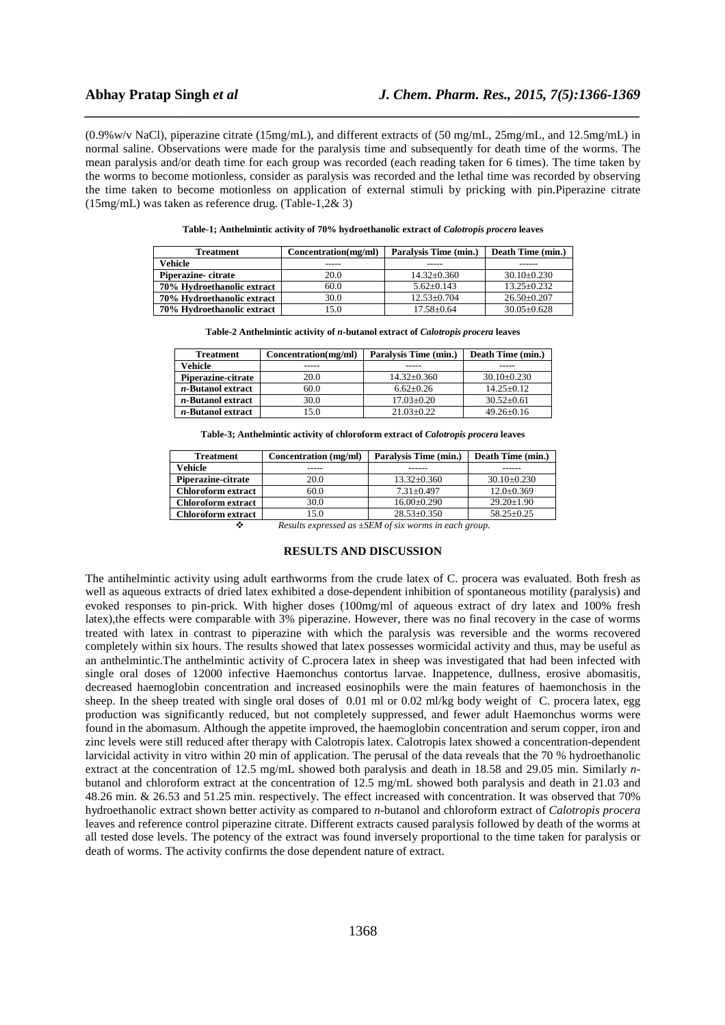(0.9%w/v NaCl), piperazine citrate (15mg/mL), and different extracts of (50 mg/mL, 25mg/mL, and 12.5mg/mL) in normal saline. Observations were made for the paralysis time and subsequently for death time of the worms. The mean paralysis and/or death time for each group was recorded (each reading taken for 6 times). The time taken by the worms to become motionless, consider as paralysis was recorded and the lethal time was recorded by observing the time taken to become motionless on application of external stimuli by pricking with pin.Piperazine citrate (15mg/mL) was taken as reference drug. (Table-1,2& 3)

*\_\_\_\_\_\_\_\_\_\_\_\_\_\_\_\_\_\_\_\_\_\_\_\_\_\_\_\_\_\_\_\_\_\_\_\_\_\_\_\_\_\_\_\_\_\_\_\_\_\_\_\_\_\_\_\_\_\_\_\_\_\_\_\_\_\_\_\_\_\_\_\_\_\_\_\_\_\_*

| <b>Treatment</b>           | Concentration(mg/ml) | Paralysis Time (min.) | Death Time (min.) |
|----------------------------|----------------------|-----------------------|-------------------|
| Vehicle                    |                      |                       |                   |
| Piperazine-citrate         | 20.0                 | $14.32 + 0.360$       | $30.10 + 0.230$   |
| 70% Hydroethanolic extract | 60.0                 | $5.62+0.143$          | $13.25 + 0.232$   |
| 70% Hydroethanolic extract | 30.0                 | $12.53+0.704$         | $26.50+0.207$     |
| 70% Hydroethanolic extract | 15.0                 | $17.58 + 0.64$        | $30.05 + 0.628$   |

**Table-1; Anthelmintic activity of 70% hydroethanolic extract of** *Calotropis procera* **leaves** 

| Table-2 Anthelmintic activity of <i>n</i> -butanol extract of <i>Calotropis procera</i> leaves |                      |                       |                   |  |  |
|------------------------------------------------------------------------------------------------|----------------------|-----------------------|-------------------|--|--|
| <b>Treatment</b>                                                                               | Concentration(mg/ml) | Paralysis Time (min.) | Death Time (min.) |  |  |
| Vehicle                                                                                        |                      |                       |                   |  |  |
| Piperazine-citrate                                                                             | 20.0                 | $14.32 \pm 0.360$     | $30.10\pm0.230$   |  |  |
| <i>n</i> -Butanol extract                                                                      | 60.0                 | $6.62+0.26$           | $14.25 + 0.12$    |  |  |
| <i>n</i> -Butanol extract                                                                      | 30.0                 | 17.03+0.20            | $30.52 + 0.61$    |  |  |

*n***-Butanol extract** 15.0 21.03±0.22 49.26±0.16

| <b>Treatment</b>          | Concentration (mg/ml) | Paralysis Time (min.) | Death Time (min.) |  |
|---------------------------|-----------------------|-----------------------|-------------------|--|
| Vehicle                   |                       |                       |                   |  |
| Piperazine-citrate        | 20.0                  | $13.32 \pm 0.360$     | $30.10 + 0.230$   |  |
| <b>Chloroform extract</b> | 60.0                  | $7.31 + 0.497$        | $12.0 \pm 0.369$  |  |
| <b>Chloroform extract</b> | 30.0                  | $16.00 \pm 0.290$     | $29.20 + 1.90$    |  |
| <b>Chloroform extract</b> | 15.0                  | $28.53+0.350$         | $58.25 + 0.25$    |  |
|                           |                       |                       |                   |  |

*Results expressed as ±SEM of six worms in each group.* 

#### **RESULTS AND DISCUSSION**

The antihelmintic activity using adult earthworms from the crude latex of C. procera was evaluated. Both fresh as well as aqueous extracts of dried latex exhibited a dose-dependent inhibition of spontaneous motility (paralysis) and evoked responses to pin-prick. With higher doses (100mg/ml of aqueous extract of dry latex and 100% fresh latex),the effects were comparable with 3% piperazine. However, there was no final recovery in the case of worms treated with latex in contrast to piperazine with which the paralysis was reversible and the worms recovered completely within six hours. The results showed that latex possesses wormicidal activity and thus, may be useful as an anthelmintic.The anthelmintic activity of C.procera latex in sheep was investigated that had been infected with single oral doses of 12000 infective Haemonchus contortus larvae. Inappetence, dullness, erosive abomasitis, decreased haemoglobin concentration and increased eosinophils were the main features of haemonchosis in the sheep. In the sheep treated with single oral doses of 0.01 ml or 0.02 ml/kg body weight of C. procera latex, egg production was significantly reduced, but not completely suppressed, and fewer adult Haemonchus worms were found in the abomasum. Although the appetite improved, the haemoglobin concentration and serum copper, iron and zinc levels were still reduced after therapy with Calotropis latex. Calotropis latex showed a concentration-dependent larvicidal activity in vitro within 20 min of application. The perusal of the data reveals that the 70 % hydroethanolic extract at the concentration of 12.5 mg/mL showed both paralysis and death in 18.58 and 29.05 min. Similarly *n*butanol and chloroform extract at the concentration of 12.5 mg/mL showed both paralysis and death in 21.03 and 48.26 min. & 26.53 and 51.25 min. respectively. The effect increased with concentration. It was observed that 70% hydroethanolic extract shown better activity as compared to *n*-butanol and chloroform extract of *Calotropis procera*  leaves and reference control piperazine citrate. Different extracts caused paralysis followed by death of the worms at all tested dose levels. The potency of the extract was found inversely proportional to the time taken for paralysis or death of worms. The activity confirms the dose dependent nature of extract.